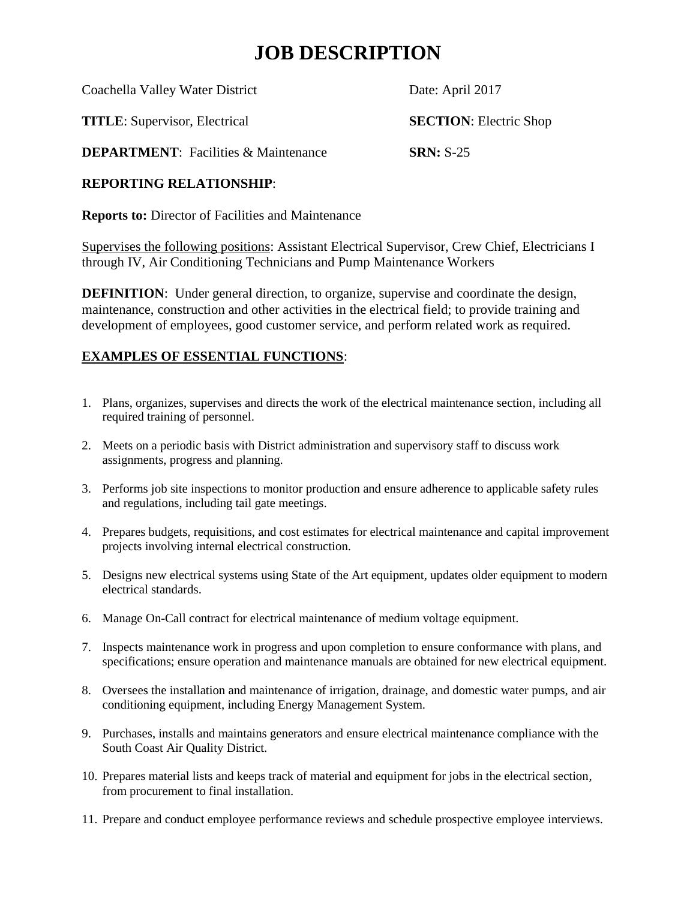# **JOB DESCRIPTION**

Coachella Valley Water District Date: April 2017

**TITLE**: Supervisor, Electrical **SECTION**: Electric Shop

**DEPARTMENT**: Facilities & Maintenance **SRN:** S-25

### **REPORTING RELATIONSHIP**:

**Reports to:** Director of Facilities and Maintenance

Supervises the following positions: Assistant Electrical Supervisor, Crew Chief, Electricians I through IV, Air Conditioning Technicians and Pump Maintenance Workers

**DEFINITION:** Under general direction, to organize, supervise and coordinate the design, maintenance, construction and other activities in the electrical field; to provide training and development of employees, good customer service, and perform related work as required.

## **EXAMPLES OF ESSENTIAL FUNCTIONS**:

- 1. Plans, organizes, supervises and directs the work of the electrical maintenance section, including all required training of personnel.
- 2. Meets on a periodic basis with District administration and supervisory staff to discuss work assignments, progress and planning.
- 3. Performs job site inspections to monitor production and ensure adherence to applicable safety rules and regulations, including tail gate meetings.
- 4. Prepares budgets, requisitions, and cost estimates for electrical maintenance and capital improvement projects involving internal electrical construction.
- 5. Designs new electrical systems using State of the Art equipment, updates older equipment to modern electrical standards.
- 6. Manage On-Call contract for electrical maintenance of medium voltage equipment.
- 7. Inspects maintenance work in progress and upon completion to ensure conformance with plans, and specifications; ensure operation and maintenance manuals are obtained for new electrical equipment.
- 8. Oversees the installation and maintenance of irrigation, drainage, and domestic water pumps, and air conditioning equipment, including Energy Management System.
- 9. Purchases, installs and maintains generators and ensure electrical maintenance compliance with the South Coast Air Quality District.
- 10. Prepares material lists and keeps track of material and equipment for jobs in the electrical section, from procurement to final installation.
- 11. Prepare and conduct employee performance reviews and schedule prospective employee interviews.